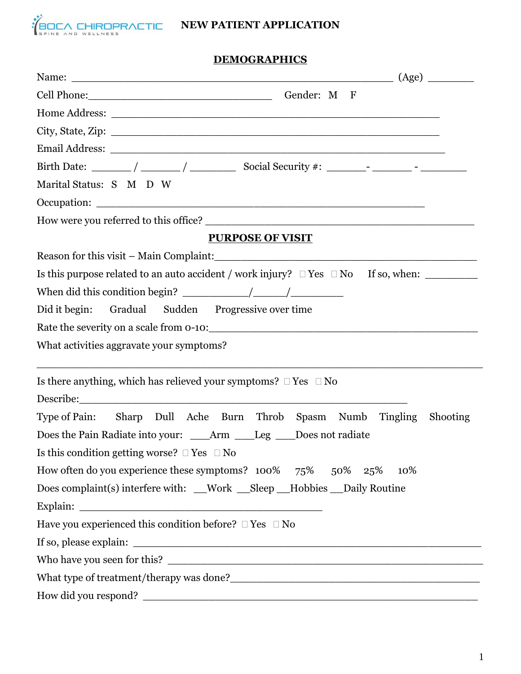

# **NEW PATIENT APPLICATION**

### **DEMOGRAPHICS**

| Cell Phone: Gender: M F                                                                      |  |  |
|----------------------------------------------------------------------------------------------|--|--|
|                                                                                              |  |  |
|                                                                                              |  |  |
|                                                                                              |  |  |
|                                                                                              |  |  |
| Marital Status: S M D W                                                                      |  |  |
|                                                                                              |  |  |
|                                                                                              |  |  |
| <b>PURPOSE OF VISIT</b>                                                                      |  |  |
|                                                                                              |  |  |
| Is this purpose related to an auto accident / work injury? $\Box$ Yes $\Box$ No If so, when: |  |  |
|                                                                                              |  |  |
| Did it begin: Gradual Sudden Progressive over time                                           |  |  |
|                                                                                              |  |  |
| What activities aggravate your symptoms?                                                     |  |  |
| Is there anything, which has relieved your symptoms? $\Box$ Yes $\Box$ No                    |  |  |
|                                                                                              |  |  |
| Type of Pain: Sharp Dull Ache Burn Throb Spasm Numb Tingling<br><b>Shooting</b>              |  |  |
| Does the Pain Radiate into your: _____Arm _____Leg ____Does not radiate                      |  |  |
| Is this condition getting worse? $\Box$ Yes $\Box$ No                                        |  |  |
| How often do you experience these symptoms? 100% 75% 50% 25%<br>10%                          |  |  |
| Does complaint(s) interfere with: __Work __Sleep __Hobbies __Daily Routine                   |  |  |
|                                                                                              |  |  |
| Have you experienced this condition before? $\Box$ Yes $\Box$ No                             |  |  |
|                                                                                              |  |  |
|                                                                                              |  |  |
|                                                                                              |  |  |
|                                                                                              |  |  |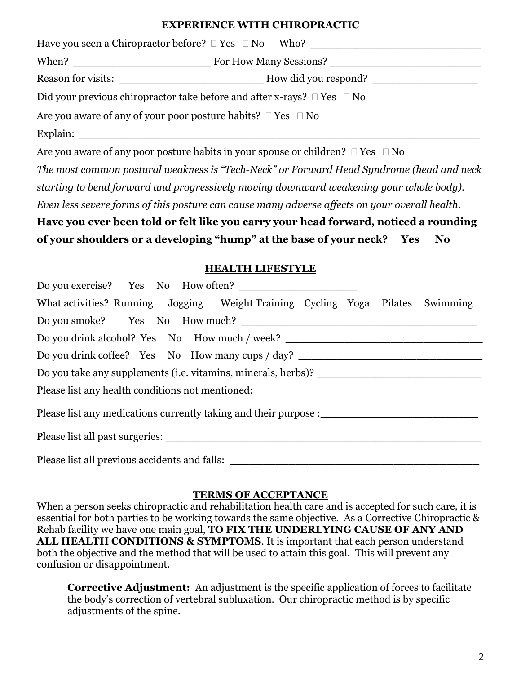## **EXPERIENCE WITH CHIROPRACTIC**

| Have you seen a Chiropractor before? $\Box$ Yes $\Box$ No Who?                    |                                          |  |
|-----------------------------------------------------------------------------------|------------------------------------------|--|
|                                                                                   | When? <u>New York How Many Sessions?</u> |  |
| Reason for visits:                                                                | How did you respond?                     |  |
| Did your previous chiropractor take before and after x-rays? $\Box$ Yes $\Box$ No |                                          |  |
| Are you aware of any of your poor posture habits? $\Box$ Yes $\Box$ No            |                                          |  |
| Explain:                                                                          |                                          |  |

Are you aware of any poor posture habits in your spouse or children?  $\Box$  Yes  $\Box$  No

*The most common postural weakness is "Tech-Neck" or Forward Head Syndrome (head and neck starting to bend forward and progressively moving downward weakening your whole body). Even less severe forms of this posture can cause many adverse affects on your overall health.* 

**Have you ever been told or felt like you carry your head forward, noticed a rounding of your shoulders or a developing "hump" at the base of your neck? Yes No** 

#### **HEALTH LIFESTYLE**

| What activities? Running Jogging Weight Training Cycling Yoga Pilates Swimming   |  |  |  |
|----------------------------------------------------------------------------------|--|--|--|
|                                                                                  |  |  |  |
| Do you drink alcohol? Yes No How much / week? __________________________________ |  |  |  |
| Do you drink coffee? Yes No How many cups / day? _______________________________ |  |  |  |
|                                                                                  |  |  |  |
|                                                                                  |  |  |  |
|                                                                                  |  |  |  |
|                                                                                  |  |  |  |
|                                                                                  |  |  |  |

#### **TERMS OF ACCEPTANCE**

When a person seeks chiropractic and rehabilitation health care and is accepted for such care, it is essential for both parties to be working towards the same objective. As a Corrective Chiropractic & Rehab facility we have one main goal, **TO FIX THE UNDERLYING CAUSE OF ANY AND ALL HEALTH CONDITIONS & SYMPTOMS**. It is important that each person understand both the objective and the method that will be used to attain this goal. This will prevent any confusion or disappointment.

**Corrective Adjustment:** An adjustment is the specific application of forces to facilitate the body's correction of vertebral subluxation. Our chiropractic method is by specific adjustments of the spine.